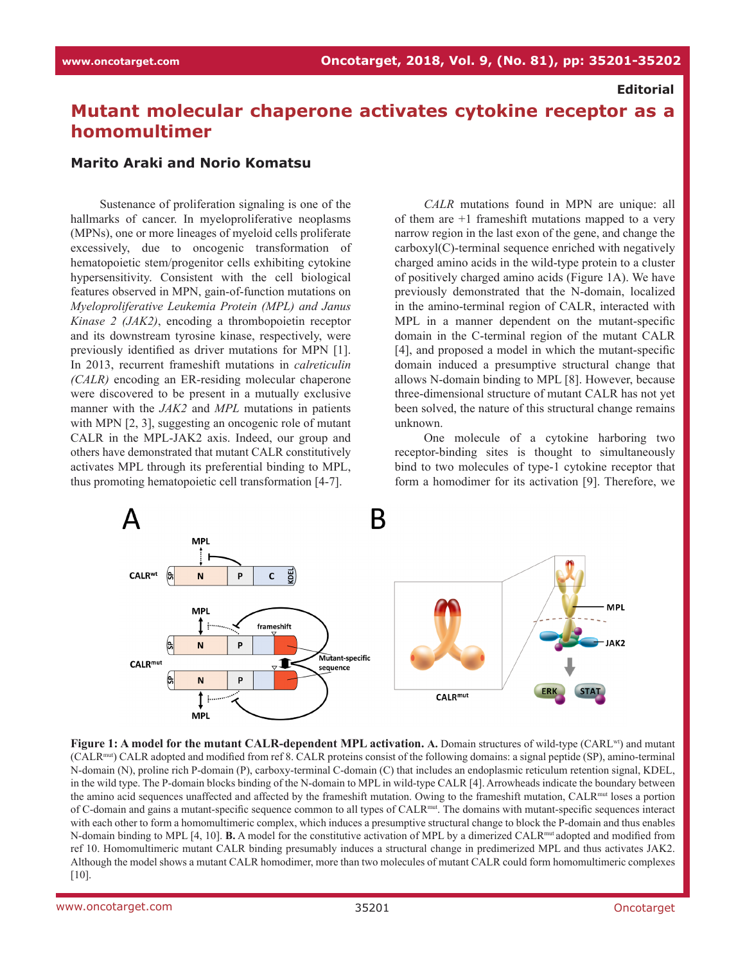## **Editorial**

## **Mutant molecular chaperone activates cytokine receptor as a homomultimer**

## **Marito Araki and Norio Komatsu**

Sustenance of proliferation signaling is one of the hallmarks of cancer. In myeloproliferative neoplasms (MPNs), one or more lineages of myeloid cells proliferate excessively, due to oncogenic transformation of hematopoietic stem/progenitor cells exhibiting cytokine hypersensitivity. Consistent with the cell biological features observed in MPN, gain-of-function mutations on *Myeloproliferative Leukemia Protein (MPL) and Janus Kinase 2 (JAK2)*, encoding a thrombopoietin receptor and its downstream tyrosine kinase, respectively, were previously identified as driver mutations for MPN [1]. In 2013, recurrent frameshift mutations in *calreticulin (CALR)* encoding an ER-residing molecular chaperone were discovered to be present in a mutually exclusive manner with the *JAK2* and *MPL* mutations in patients with MPN [2, 3], suggesting an oncogenic role of mutant CALR in the MPL-JAK2 axis. Indeed, our group and others have demonstrated that mutant CALR constitutively activates MPL through its preferential binding to MPL, thus promoting hematopoietic cell transformation [4-7].

*CALR* mutations found in MPN are unique: all of them are +1 frameshift mutations mapped to a very narrow region in the last exon of the gene, and change the carboxyl(C)-terminal sequence enriched with negatively charged amino acids in the wild-type protein to a cluster of positively charged amino acids (Figure 1A). We have previously demonstrated that the N-domain, localized in the amino-terminal region of CALR, interacted with MPL in a manner dependent on the mutant-specific domain in the C-terminal region of the mutant CALR [4], and proposed a model in which the mutant-specific domain induced a presumptive structural change that allows N-domain binding to MPL [8]. However, because three-dimensional structure of mutant CALR has not yet been solved, the nature of this structural change remains unknown.

One molecule of a cytokine harboring two receptor-binding sites is thought to simultaneously bind to two molecules of type-1 cytokine receptor that form a homodimer for its activation [9]. Therefore, we



**Figure 1: A model for the mutant CALR-dependent MPL activation. A.** Domain structures of wild-type (CARL<sup>wt</sup>) and mutant (CALRmut) CALR adopted and modified from ref 8. CALR proteins consist of the following domains: a signal peptide (SP), amino-terminal N-domain (N), proline rich P-domain (P), carboxy-terminal C-domain (C) that includes an endoplasmic reticulum retention signal, KDEL, in the wild type. The P-domain blocks binding of the N-domain to MPL in wild-type CALR [4]. Arrowheads indicate the boundary between the amino acid sequences unaffected and affected by the frameshift mutation. Owing to the frameshift mutation, CALRmut loses a portion of C-domain and gains a mutant-specific sequence common to all types of CALRmut. The domains with mutant-specific sequences interact with each other to form a homomultimeric complex, which induces a presumptive structural change to block the P-domain and thus enables N-domain binding to MPL [4, 10]. **B.** A model for the constitutive activation of MPL by a dimerized CALR<sup>mut</sup> adopted and modified from ref 10. Homomultimeric mutant CALR binding presumably induces a structural change in predimerized MPL and thus activates JAK2. Although the model shows a mutant CALR homodimer, more than two molecules of mutant CALR could form homomultimeric complexes [10].